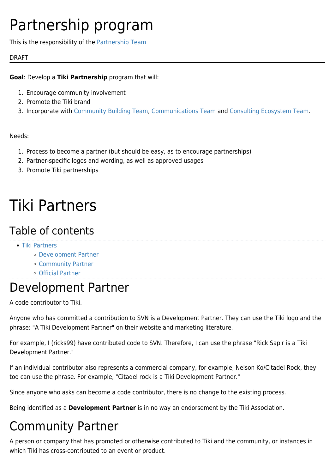# Partnership program

This is the responsibility of the [Partnership Team](https://tiki.org/Partnership-Team)

### DRAFT

### **Goal**: Develop a **Tiki Partnership** program that will:

- 1. Encourage community involvement
- 2. Promote the Tiki brand
- 3. Incorporate with [Community Building Team](https://tiki.org/Community-Building-Team), [Communications Team](https://tiki.org/Communications-Team) and [Consulting Ecosystem Team.](https://tiki.org/Consulting-Ecosystem-Team)

### Needs:

- 1. Process to become a partner (but should be easy, as to encourage partnerships)
- 2. Partner-specific logos and wording, as well as approved usages
- 3. Promote Tiki partnerships

# Tiki Partners

### Table of contents

- [Tiki Partners](#page--1-0)
	- [Development Partner](#page--1-0)
	- [Community Partner](#page--1-0)
	- [Official Partner](#page--1-0)

### Development Partner

A code contributor to Tiki.

Anyone who has committed a contribution to SVN is a Development Partner. They can use the Tiki logo and the phrase: "A Tiki Development Partner" on their website and marketing literature.

For example, I (ricks99) have contributed code to SVN. Therefore, I can use the phrase "Rick Sapir is a Tiki Development Partner."

If an individual contributor also represents a commercial company, for example, Nelson Ko/Citadel Rock, they too can use the phrase. For example, "Citadel rock is a Tiki Development Partner."

Since anyone who asks can become a code contributor, there is no change to the existing process.

Being identified as a **Development Partner** is in no way an endorsement by the Tiki Association.

## Community Partner

A person or company that has promoted or otherwise contributed to Tiki and the community, or instances in which Tiki has cross-contributed to an event or product.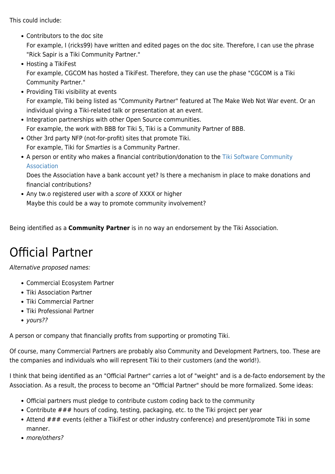This could include:

Contributors to the doc site

For example, I (ricks99) have written and edited pages on the doc site. Therefore, I can use the phrase "Rick Sapir is a Tiki Community Partner."

- Hosting a TikiFest For example, CGCOM has hosted a TikiFest. Therefore, they can use the phase "CGCOM is a Tiki Community Partner."
- Providing Tiki visibility at events For example, Tiki being listed as "Community Partner" featured at The Make Web Not War event. Or an individual giving a Tiki-related talk or presentation at an event.
- Integration partnerships with other Open Source communities. For example, the work with BBB for Tiki 5, Tiki is a Community Partner of BBB.
- Other 3rd party NFP (not-for-profit) sites that promote Tiki. For example, Tiki for Smarties is a Community Partner.
- A person or entity who makes a financial contribution/donation to the [Tiki Software Community](https://tiki.org/Tiki-Software-Community-Association) [Association](https://tiki.org/Tiki-Software-Community-Association)

Does the Association have a bank account yet? Is there a mechanism in place to make donations and financial contributions?

• Any tw.o registered user with a score of XXXX or higher Maybe this could be a way to promote community involvement?

Being identified as a **Community Partner** is in no way an endorsement by the Tiki Association.

## Official Partner

Alternative proposed names:

- Commercial Ecosystem Partner
- Tiki Association Partner
- Tiki Commercial Partner
- Tiki Professional Partner
- yours??

A person or company that financially profits from supporting or promoting Tiki.

Of course, many Commercial Partners are probably also Community and Development Partners, too. These are the companies and individuals who will represent Tiki to their customers (and the world!).

I think that being identified as an "Official Partner" carries a lot of "weight" and is a de-facto endorsement by the Association. As a result, the process to become an "Official Partner" should be more formalized. Some ideas:

- Official partners must pledge to contribute custom coding back to the community
- Contribute ### hours of coding, testing, packaging, etc. to the Tiki project per year
- Attend ### events (either a TikiFest or other industry conference) and present/promote Tiki in some manner.
- more/others?